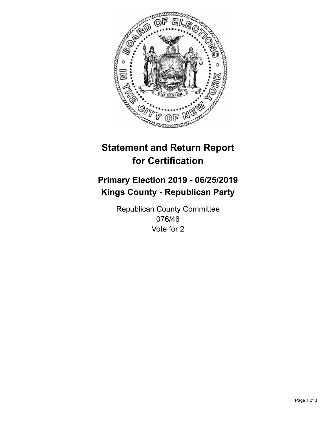

## **Statement and Return Report for Certification**

## **Primary Election 2019 - 06/25/2019 Kings County - Republican Party**

Republican County Committee 076/46 Vote for 2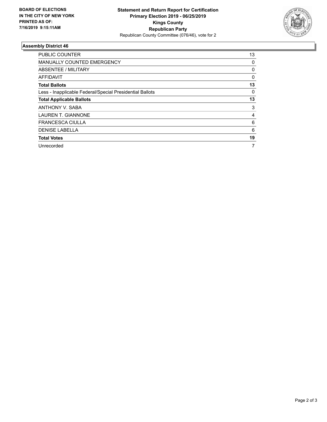

## **Assembly District 46**

| <b>PUBLIC COUNTER</b>                                    | 13       |
|----------------------------------------------------------|----------|
| <b>MANUALLY COUNTED EMERGENCY</b>                        | 0        |
| ABSENTEE / MILITARY                                      | 0        |
| AFFIDAVIT                                                | $\Omega$ |
| <b>Total Ballots</b>                                     | 13       |
| Less - Inapplicable Federal/Special Presidential Ballots | 0        |
| <b>Total Applicable Ballots</b>                          | 13       |
| <b>ANTHONY V. SABA</b>                                   | 3        |
| <b>LAUREN T. GIANNONE</b>                                | 4        |
| <b>FRANCESCA CIULLA</b>                                  | 6        |
| <b>DENISE LABELLA</b>                                    | 6        |
| <b>Total Votes</b>                                       | 19       |
| Unrecorded                                               |          |